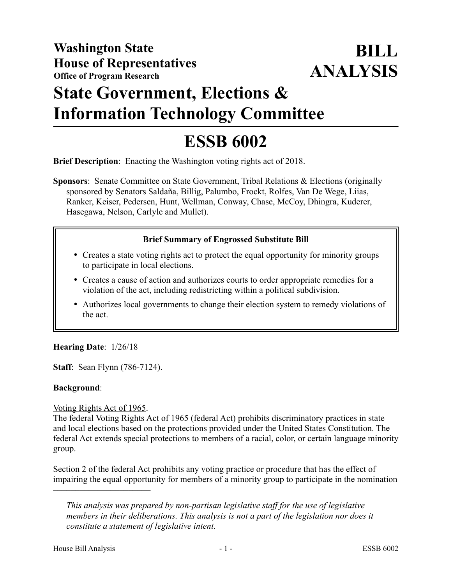## **State Government, Elections & Information Technology Committee**

# **ESSB 6002**

**Brief Description**: Enacting the Washington voting rights act of 2018.

**Sponsors**: Senate Committee on State Government, Tribal Relations & Elections (originally sponsored by Senators Saldaña, Billig, Palumbo, Frockt, Rolfes, Van De Wege, Liias, Ranker, Keiser, Pedersen, Hunt, Wellman, Conway, Chase, McCoy, Dhingra, Kuderer, Hasegawa, Nelson, Carlyle and Mullet).

### **Brief Summary of Engrossed Substitute Bill**

- Creates a state voting rights act to protect the equal opportunity for minority groups to participate in local elections.
- Creates a cause of action and authorizes courts to order appropriate remedies for a violation of the act, including redistricting within a political subdivision.
- Authorizes local governments to change their election system to remedy violations of the act.

### **Hearing Date**: 1/26/18

**Staff**: Sean Flynn (786-7124).

### **Background**:

### Voting Rights Act of 1965.

––––––––––––––––––––––

The federal Voting Rights Act of 1965 (federal Act) prohibits discriminatory practices in state and local elections based on the protections provided under the United States Constitution. The federal Act extends special protections to members of a racial, color, or certain language minority group.

Section 2 of the federal Act prohibits any voting practice or procedure that has the effect of impairing the equal opportunity for members of a minority group to participate in the nomination

*This analysis was prepared by non-partisan legislative staff for the use of legislative members in their deliberations. This analysis is not a part of the legislation nor does it constitute a statement of legislative intent.*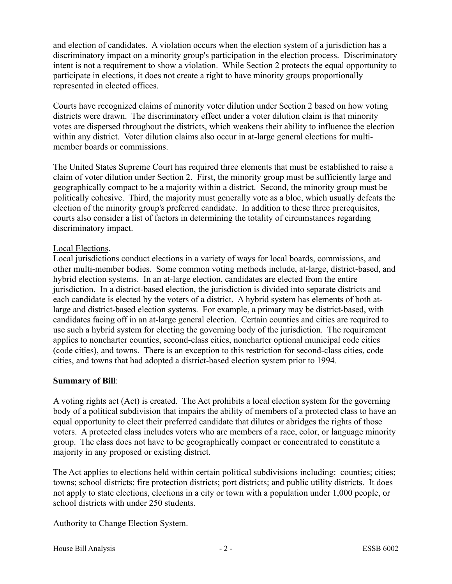and election of candidates. A violation occurs when the election system of a jurisdiction has a discriminatory impact on a minority group's participation in the election process. Discriminatory intent is not a requirement to show a violation. While Section 2 protects the equal opportunity to participate in elections, it does not create a right to have minority groups proportionally represented in elected offices.

Courts have recognized claims of minority voter dilution under Section 2 based on how voting districts were drawn. The discriminatory effect under a voter dilution claim is that minority votes are dispersed throughout the districts, which weakens their ability to influence the election within any district. Voter dilution claims also occur in at-large general elections for multimember boards or commissions.

The United States Supreme Court has required three elements that must be established to raise a claim of voter dilution under Section 2. First, the minority group must be sufficiently large and geographically compact to be a majority within a district. Second, the minority group must be politically cohesive. Third, the majority must generally vote as a bloc, which usually defeats the election of the minority group's preferred candidate. In addition to these three prerequisites, courts also consider a list of factors in determining the totality of circumstances regarding discriminatory impact.

#### Local Elections.

Local jurisdictions conduct elections in a variety of ways for local boards, commissions, and other multi-member bodies. Some common voting methods include, at-large, district-based, and hybrid election systems. In an at-large election, candidates are elected from the entire jurisdiction. In a district-based election, the jurisdiction is divided into separate districts and each candidate is elected by the voters of a district. A hybrid system has elements of both atlarge and district-based election systems. For example, a primary may be district-based, with candidates facing off in an at-large general election. Certain counties and cities are required to use such a hybrid system for electing the governing body of the jurisdiction. The requirement applies to noncharter counties, second-class cities, noncharter optional municipal code cities (code cities), and towns. There is an exception to this restriction for second-class cities, code cities, and towns that had adopted a district-based election system prior to 1994.

### **Summary of Bill**:

A voting rights act (Act) is created. The Act prohibits a local election system for the governing body of a political subdivision that impairs the ability of members of a protected class to have an equal opportunity to elect their preferred candidate that dilutes or abridges the rights of those voters. A protected class includes voters who are members of a race, color, or language minority group. The class does not have to be geographically compact or concentrated to constitute a majority in any proposed or existing district.

The Act applies to elections held within certain political subdivisions including: counties; cities; towns; school districts; fire protection districts; port districts; and public utility districts. It does not apply to state elections, elections in a city or town with a population under 1,000 people, or school districts with under 250 students.

### Authority to Change Election System.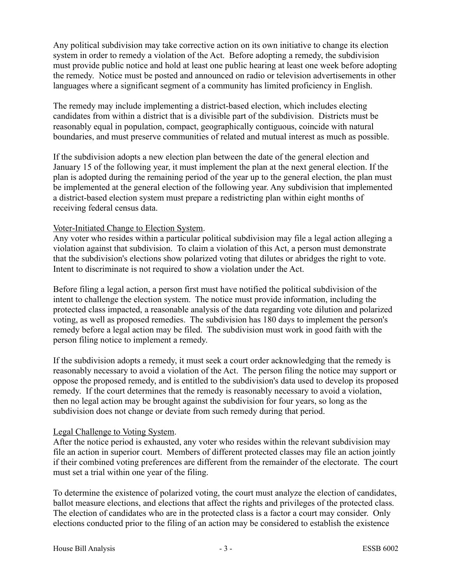Any political subdivision may take corrective action on its own initiative to change its election system in order to remedy a violation of the Act. Before adopting a remedy, the subdivision must provide public notice and hold at least one public hearing at least one week before adopting the remedy. Notice must be posted and announced on radio or television advertisements in other languages where a significant segment of a community has limited proficiency in English.

The remedy may include implementing a district-based election, which includes electing candidates from within a district that is a divisible part of the subdivision. Districts must be reasonably equal in population, compact, geographically contiguous, coincide with natural boundaries, and must preserve communities of related and mutual interest as much as possible.

If the subdivision adopts a new election plan between the date of the general election and January 15 of the following year, it must implement the plan at the next general election. If the plan is adopted during the remaining period of the year up to the general election, the plan must be implemented at the general election of the following year. Any subdivision that implemented a district-based election system must prepare a redistricting plan within eight months of receiving federal census data.

#### Voter-Initiated Change to Election System.

Any voter who resides within a particular political subdivision may file a legal action alleging a violation against that subdivision. To claim a violation of this Act, a person must demonstrate that the subdivision's elections show polarized voting that dilutes or abridges the right to vote. Intent to discriminate is not required to show a violation under the Act.

Before filing a legal action, a person first must have notified the political subdivision of the intent to challenge the election system. The notice must provide information, including the protected class impacted, a reasonable analysis of the data regarding vote dilution and polarized voting, as well as proposed remedies. The subdivision has 180 days to implement the person's remedy before a legal action may be filed. The subdivision must work in good faith with the person filing notice to implement a remedy.

If the subdivision adopts a remedy, it must seek a court order acknowledging that the remedy is reasonably necessary to avoid a violation of the Act. The person filing the notice may support or oppose the proposed remedy, and is entitled to the subdivision's data used to develop its proposed remedy. If the court determines that the remedy is reasonably necessary to avoid a violation, then no legal action may be brought against the subdivision for four years, so long as the subdivision does not change or deviate from such remedy during that period.

#### Legal Challenge to Voting System.

After the notice period is exhausted, any voter who resides within the relevant subdivision may file an action in superior court. Members of different protected classes may file an action jointly if their combined voting preferences are different from the remainder of the electorate. The court must set a trial within one year of the filing.

To determine the existence of polarized voting, the court must analyze the election of candidates, ballot measure elections, and elections that affect the rights and privileges of the protected class. The election of candidates who are in the protected class is a factor a court may consider. Only elections conducted prior to the filing of an action may be considered to establish the existence